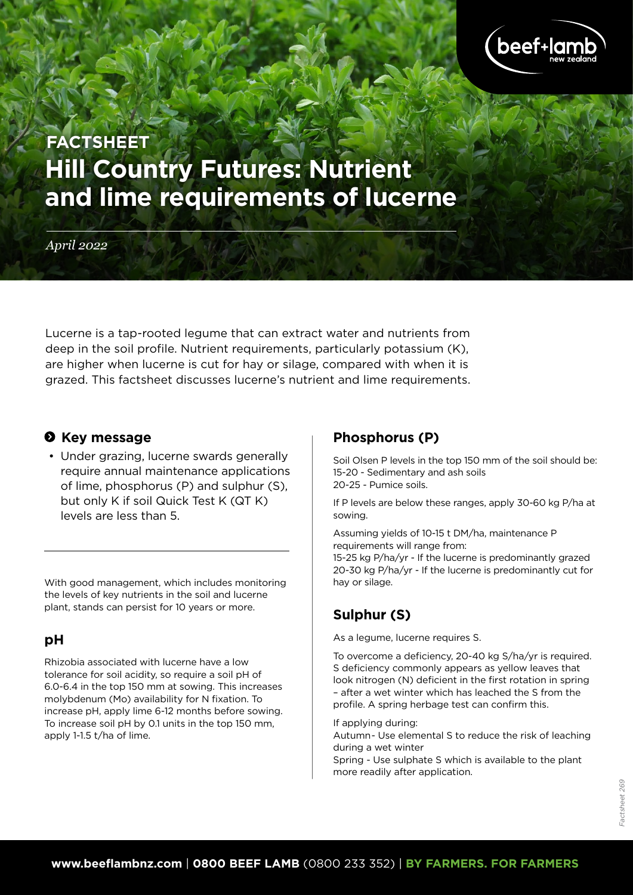

# **Hill Country Futures: Nutrient and lime requirements of lucerne FACTSHEET**

*April 2022*

Lucerne is a tap-rooted legume that can extract water and nutrients from deep in the soil profile. Nutrient requirements, particularly potassium (K), are higher when lucerne is cut for hay or silage, compared with when it is grazed. This factsheet discusses lucerne's nutrient and lime requirements.

#### $\theta$  Key message

• Under grazing, lucerne swards generally require annual maintenance applications of lime, phosphorus (P) and sulphur (S), but only K if soil Quick Test K (QT K) levels are less than 5.

With good management, which includes monitoring the levels of key nutrients in the soil and lucerne plant, stands can persist for 10 years or more.

#### **pH**

Rhizobia associated with lucerne have a low tolerance for soil acidity, so require a soil pH of 6.0-6.4 in the top 150 mm at sowing. This increases molybdenum (Mo) availability for N fixation. To increase pH, apply lime 6-12 months before sowing. To increase soil pH by 0.1 units in the top 150 mm, apply 1-1.5 t/ha of lime.

#### **Phosphorus (P)**

Soil Olsen P levels in the top 150 mm of the soil should be: 15-20 - Sedimentary and ash soils 20-25 - Pumice soils.

If P levels are below these ranges, apply 30-60 kg P/ha at sowing.

Assuming yields of 10-15 t DM/ha, maintenance P requirements will range from: 15-25 kg P/ha/yr - If the lucerne is predominantly grazed

20-30 kg P/ha/yr - If the lucerne is predominantly cut for hay or silage.

# **Sulphur (S)**

As a legume, lucerne requires S.

To overcome a deficiency, 20-40 kg S/ha/yr is required. S deficiency commonly appears as yellow leaves that look nitrogen (N) deficient in the first rotation in spring – after a wet winter which has leached the S from the profile. A spring herbage test can confirm this.

If applying during:

Autumn- Use elemental S to reduce the risk of leaching during a wet winter

Spring - Use sulphate S which is available to the plant more readily after application.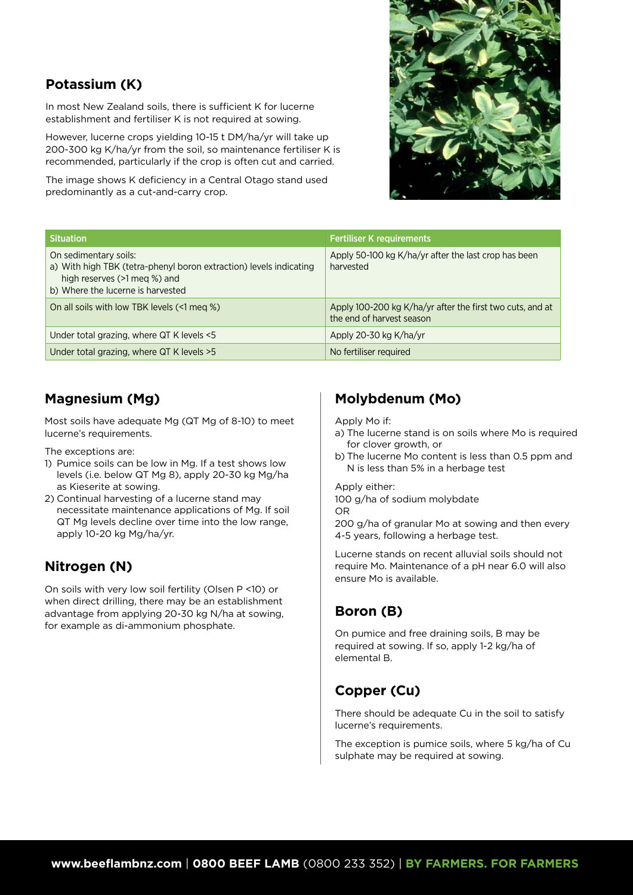## **Potassium (K)**

In most New Zealand soils, there is sufficient K for lucerne establishment and fertiliser K is not required at sowing.

However, lucerne crops yielding 10-15 t DM/ha/yr will take up 200-300 kg K/ha/yr from the soil, so maintenance fertiliser K is recommended, particularly if the crop is often cut and carried.

The image shows K deficiency in a Central Otago stand used predominantly as a cut-and-carry crop.



| <b>Situation</b>                                                                                                                                                 | <b>Fertiliser K requirements</b>                                                       |
|------------------------------------------------------------------------------------------------------------------------------------------------------------------|----------------------------------------------------------------------------------------|
| On sedimentary soils:<br>a) With high TBK (tetra-phenyl boron extraction) levels indicating<br>high reserves (>1 meg %) and<br>b) Where the lucerne is harvested | Apply 50-100 kg K/ha/yr after the last crop has been<br>harvested                      |
| On all soils with low TBK levels (<1 meg %)                                                                                                                      | Apply 100-200 kg K/ha/yr after the first two cuts, and at<br>the end of harvest season |
| Under total grazing, where QT K levels <5                                                                                                                        | Apply 20-30 kg K/ha/yr                                                                 |
| Under total grazing, where QT K levels > 5                                                                                                                       | No fertiliser required                                                                 |

## **Magnesium (Mg)**

Most soils have adequate Mg (QT Mg of 8-10) to meet lucerne's requirements.

The exceptions are:

- 1) Pumice soils can be low in Mg. If a test shows low levels (i.e. below QT Mg 8), apply 20-30 kg Mg/ha as Kieserite at sowing.
- 2) Continual harvesting of a lucerne stand may necessitate maintenance applications of Mg. If soil QT Mg levels decline over time into the low range, apply 10-20 kg Mg/ha/yr.

## **Nitrogen (N)**

On soils with very low soil fertility (Olsen P <10) or when direct drilling, there may be an establishment advantage from applying 20-30 kg N/ha at sowing, for example as di-ammonium phosphate.

# **Molybdenum (Mo)**

Apply Mo if:

- a) The lucerne stand is on soils where Mo is required for clover growth, or
- b) The lucerne Mo content is less than 0.5 ppm and N is less than 5% in a herbage test

Apply either:

100 g/ha of sodium molybdate

OR

200 g/ha of granular Mo at sowing and then every 4-5 years, following a herbage test.

Lucerne stands on recent alluvial soils should not require Mo. Maintenance of a pH near 6.0 will also ensure Mo is available.

# **Boron (B)**

On pumice and free draining soils, B may be required at sowing. If so, apply 1-2 kg/ha of elemental B.

# **Copper (Cu)**

There should be adequate Cu in the soil to satisfy lucerne's requirements.

The exception is pumice soils, where 5 kg/ha of Cu sulphate may be required at sowing.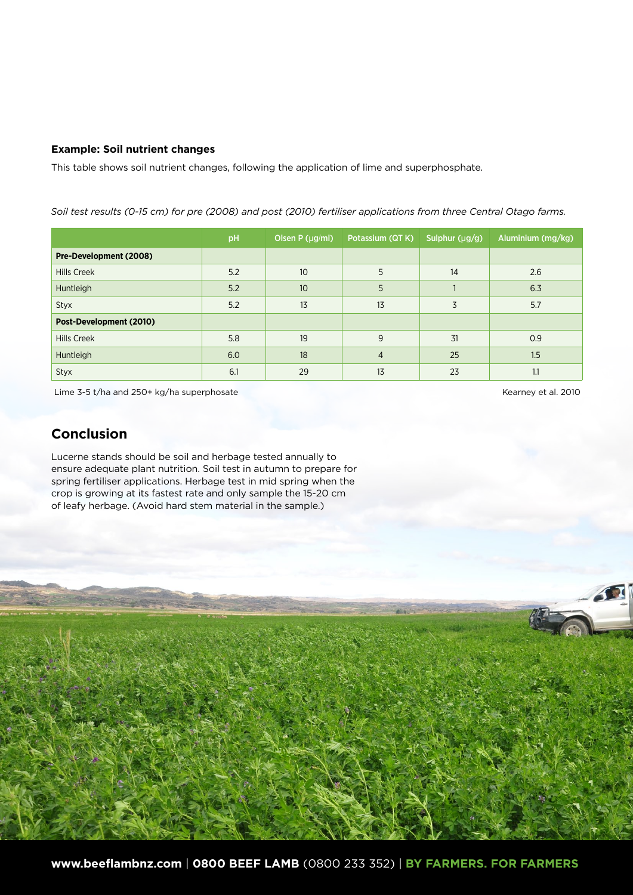#### **Example: Soil nutrient changes**

This table shows soil nutrient changes, following the application of lime and superphosphate.

pH Olsen P (µg/ml) Potassium (QT K) Sulphur (µg/g) Aluminium (mg/kg) **Pre-Development (2008)** Hills Creek 5.2 10 5 14 2.6 Huntleigh 5.2 10 5 1 6.3 Styx 5.2 13 13 3 5.7 **Post-Development (2010)** Hills Creek 5.8 19 9 31 0.9 Huntleigh 6.0 18 4 25 1.5 Styx 6.1 29 13 23 1.1

*Soil test results (0-15 cm) for pre (2008) and post (2010) fertiliser applications from three Central Otago farms.*

Lime 3-5 t/ha and 250+ kg/ha superphosate Kearney et al. 2010

#### **Conclusion**

Lucerne stands should be soil and herbage tested annually to ensure adequate plant nutrition. Soil test in autumn to prepare for spring fertiliser applications. Herbage test in mid spring when the crop is growing at its fastest rate and only sample the 15-20 cm of leafy herbage. (Avoid hard stem material in the sample.)